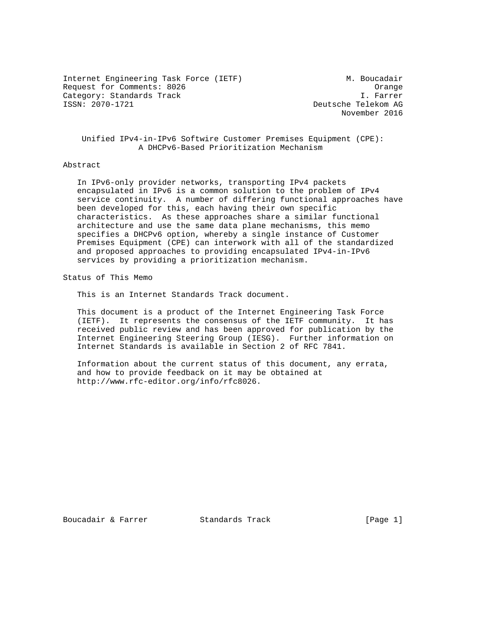Internet Engineering Task Force (IETF) M. Boucadair Request for Comments: 8026 Orange Category: Standards Track<br>ISSN: 2070-1721

Deutsche Telekom AG November 2016

 Unified IPv4-in-IPv6 Softwire Customer Premises Equipment (CPE): A DHCPv6-Based Prioritization Mechanism

## Abstract

 In IPv6-only provider networks, transporting IPv4 packets encapsulated in IPv6 is a common solution to the problem of IPv4 service continuity. A number of differing functional approaches have been developed for this, each having their own specific characteristics. As these approaches share a similar functional architecture and use the same data plane mechanisms, this memo specifies a DHCPv6 option, whereby a single instance of Customer Premises Equipment (CPE) can interwork with all of the standardized and proposed approaches to providing encapsulated IPv4-in-IPv6 services by providing a prioritization mechanism.

Status of This Memo

This is an Internet Standards Track document.

 This document is a product of the Internet Engineering Task Force (IETF). It represents the consensus of the IETF community. It has received public review and has been approved for publication by the Internet Engineering Steering Group (IESG). Further information on Internet Standards is available in Section 2 of RFC 7841.

 Information about the current status of this document, any errata, and how to provide feedback on it may be obtained at http://www.rfc-editor.org/info/rfc8026.

Boucadair & Farrer **Standards Track** [Page 1]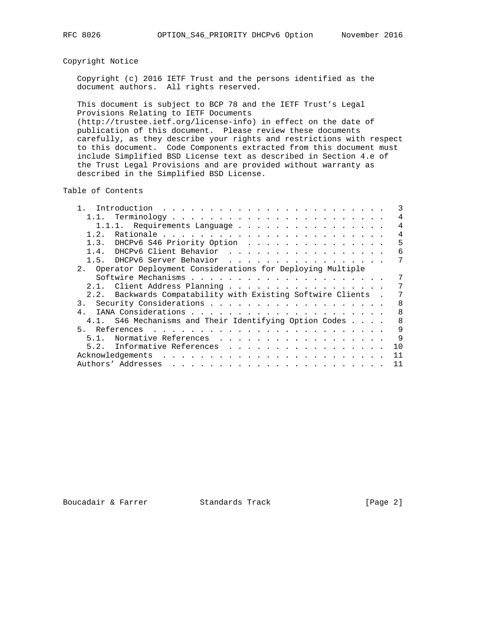# Copyright Notice

 Copyright (c) 2016 IETF Trust and the persons identified as the document authors. All rights reserved.

 This document is subject to BCP 78 and the IETF Trust's Legal Provisions Relating to IETF Documents (http://trustee.ietf.org/license-info) in effect on the date of publication of this document. Please review these documents carefully, as they describe your rights and restrictions with respect to this document. Code Components extracted from this document must include Simplified BSD License text as described in Section 4.e of the Trust Legal Provisions and are provided without warranty as described in the Simplified BSD License.

Table of Contents

| Introduction $\ldots \ldots \ldots \ldots \ldots \ldots \ldots \ldots$ |                |
|------------------------------------------------------------------------|----------------|
|                                                                        | 4              |
| 1.1.1. Requirements Language                                           | 4              |
| 1.2.                                                                   | $\overline{4}$ |
| 1.3. DHCPv6 S46 Priority Option                                        | 5              |
| DHCPv6 Client Behavior<br>1.4.                                         | 6              |
| 1.5. DHCPv6 Server Behavior                                            | 7              |
| 2. Operator Deployment Considerations for Deploying Multiple           |                |
|                                                                        |                |
| 2.1. Client Address Planning                                           | 7              |
| 2.2. Backwards Compatability with Existing Softwire Clients .          |                |
|                                                                        | 8              |
| 4                                                                      | 8              |
| 4.1. S46 Mechanisms and Their Identifying Option Codes                 | 8              |
| 5.<br>References                                                       | 9              |
| Normative References<br>5.1.                                           | 9              |
| 5.2. Informative References                                            | 10             |
|                                                                        | 11             |
|                                                                        | 11             |
|                                                                        |                |

Boucadair & Farrer **Standards Track** [Page 2]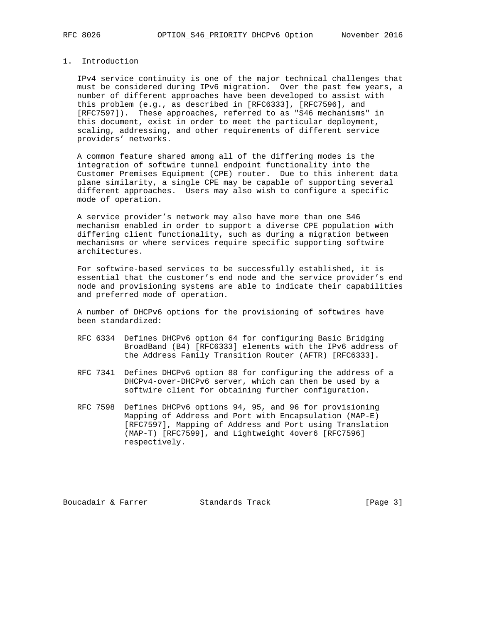## 1. Introduction

 IPv4 service continuity is one of the major technical challenges that must be considered during IPv6 migration. Over the past few years, a number of different approaches have been developed to assist with this problem (e.g., as described in [RFC6333], [RFC7596], and [RFC7597]). These approaches, referred to as "S46 mechanisms" in this document, exist in order to meet the particular deployment, scaling, addressing, and other requirements of different service providers' networks.

 A common feature shared among all of the differing modes is the integration of softwire tunnel endpoint functionality into the Customer Premises Equipment (CPE) router. Due to this inherent data plane similarity, a single CPE may be capable of supporting several different approaches. Users may also wish to configure a specific mode of operation.

 A service provider's network may also have more than one S46 mechanism enabled in order to support a diverse CPE population with differing client functionality, such as during a migration between mechanisms or where services require specific supporting softwire architectures.

 For softwire-based services to be successfully established, it is essential that the customer's end node and the service provider's end node and provisioning systems are able to indicate their capabilities and preferred mode of operation.

 A number of DHCPv6 options for the provisioning of softwires have been standardized:

- RFC 6334 Defines DHCPv6 option 64 for configuring Basic Bridging BroadBand (B4) [RFC6333] elements with the IPv6 address of the Address Family Transition Router (AFTR) [RFC6333].
- RFC 7341 Defines DHCPv6 option 88 for configuring the address of a DHCPv4-over-DHCPv6 server, which can then be used by a softwire client for obtaining further configuration.
- RFC 7598 Defines DHCPv6 options 94, 95, and 96 for provisioning Mapping of Address and Port with Encapsulation (MAP-E) [RFC7597], Mapping of Address and Port using Translation (MAP-T) [RFC7599], and Lightweight 4over6 [RFC7596] respectively.

Boucadair & Farrer **Standards Track** [Page 3]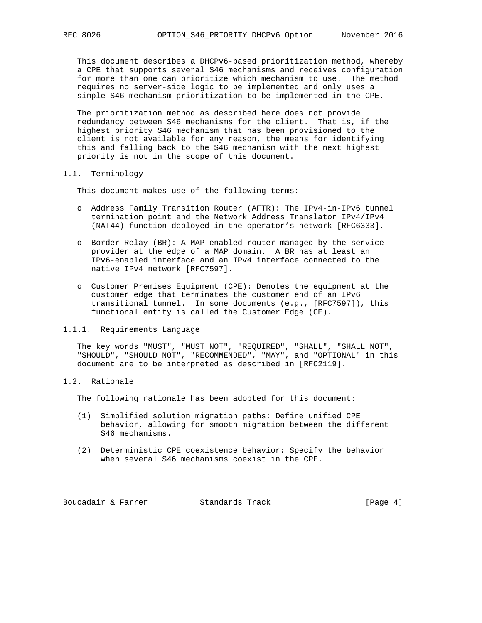This document describes a DHCPv6-based prioritization method, whereby a CPE that supports several S46 mechanisms and receives configuration for more than one can prioritize which mechanism to use. The method requires no server-side logic to be implemented and only uses a simple S46 mechanism prioritization to be implemented in the CPE.

 The prioritization method as described here does not provide redundancy between S46 mechanisms for the client. That is, if the highest priority S46 mechanism that has been provisioned to the client is not available for any reason, the means for identifying this and falling back to the S46 mechanism with the next highest priority is not in the scope of this document.

## 1.1. Terminology

This document makes use of the following terms:

- o Address Family Transition Router (AFTR): The IPv4-in-IPv6 tunnel termination point and the Network Address Translator IPv4/IPv4 (NAT44) function deployed in the operator's network [RFC6333].
- o Border Relay (BR): A MAP-enabled router managed by the service provider at the edge of a MAP domain. A BR has at least an IPv6-enabled interface and an IPv4 interface connected to the native IPv4 network [RFC7597].
- o Customer Premises Equipment (CPE): Denotes the equipment at the customer edge that terminates the customer end of an IPv6 transitional tunnel. In some documents (e.g., [RFC7597]), this functional entity is called the Customer Edge (CE).

## 1.1.1. Requirements Language

 The key words "MUST", "MUST NOT", "REQUIRED", "SHALL", "SHALL NOT", "SHOULD", "SHOULD NOT", "RECOMMENDED", "MAY", and "OPTIONAL" in this document are to be interpreted as described in [RFC2119].

# 1.2. Rationale

The following rationale has been adopted for this document:

- (1) Simplified solution migration paths: Define unified CPE behavior, allowing for smooth migration between the different S46 mechanisms.
- (2) Deterministic CPE coexistence behavior: Specify the behavior when several S46 mechanisms coexist in the CPE.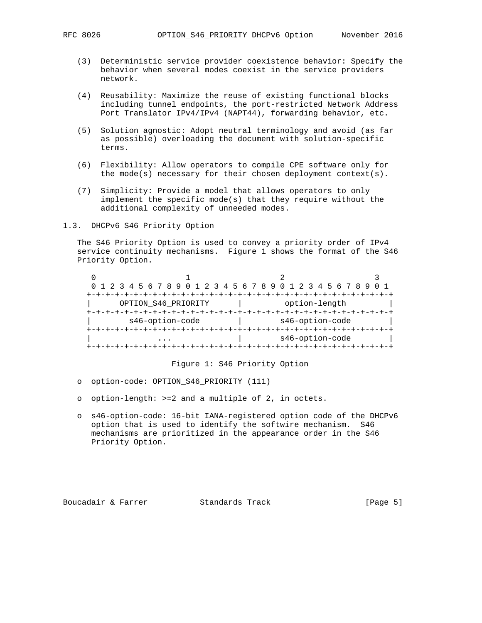- (3) Deterministic service provider coexistence behavior: Specify the behavior when several modes coexist in the service providers network.
- (4) Reusability: Maximize the reuse of existing functional blocks including tunnel endpoints, the port-restricted Network Address Port Translator IPv4/IPv4 (NAPT44), forwarding behavior, etc.
- (5) Solution agnostic: Adopt neutral terminology and avoid (as far as possible) overloading the document with solution-specific terms.
- (6) Flexibility: Allow operators to compile CPE software only for the mode(s) necessary for their chosen deployment context(s).
- (7) Simplicity: Provide a model that allows operators to only implement the specific mode(s) that they require without the additional complexity of unneeded modes.
- 1.3. DHCPv6 S46 Priority Option

 The S46 Priority Option is used to convey a priority order of IPv4 service continuity mechanisms. Figure 1 shows the format of the S46 Priority Option.

|  | 0 1 2 3 4 5 6 7 8 9 0 1 2 3 4 5 6 7 8 9 0 1 2 3 4 5 6 7 8 9 |  |                 |  |  |  |
|--|-------------------------------------------------------------|--|-----------------|--|--|--|
|  |                                                             |  |                 |  |  |  |
|  | OPTION_S46_PRIORITY                                         |  | option-length   |  |  |  |
|  |                                                             |  |                 |  |  |  |
|  | s46-option-code                                             |  | s46-option-code |  |  |  |
|  |                                                             |  |                 |  |  |  |
|  |                                                             |  | s46-option-code |  |  |  |
|  |                                                             |  |                 |  |  |  |

Figure 1: S46 Priority Option

- o option-code: OPTION\_S46\_PRIORITY (111)
- o option-length: >=2 and a multiple of 2, in octets.
- o s46-option-code: 16-bit IANA-registered option code of the DHCPv6 option that is used to identify the softwire mechanism. S46 mechanisms are prioritized in the appearance order in the S46 Priority Option.

Boucadair & Farrer **Standards Track** [Page 5]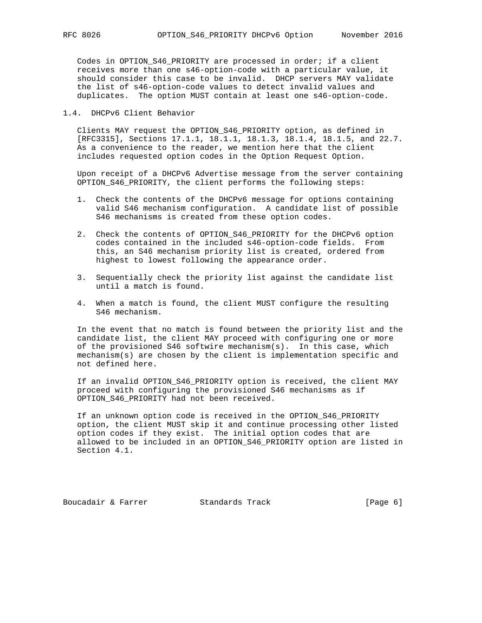Codes in OPTION\_S46\_PRIORITY are processed in order; if a client receives more than one s46-option-code with a particular value, it should consider this case to be invalid. DHCP servers MAY validate the list of s46-option-code values to detect invalid values and duplicates. The option MUST contain at least one s46-option-code.

1.4. DHCPv6 Client Behavior

 Clients MAY request the OPTION\_S46\_PRIORITY option, as defined in [RFC3315], Sections 17.1.1, 18.1.1, 18.1.3, 18.1.4, 18.1.5, and 22.7. As a convenience to the reader, we mention here that the client includes requested option codes in the Option Request Option.

 Upon receipt of a DHCPv6 Advertise message from the server containing OPTION\_S46\_PRIORITY, the client performs the following steps:

- 1. Check the contents of the DHCPv6 message for options containing valid S46 mechanism configuration. A candidate list of possible S46 mechanisms is created from these option codes.
- 2. Check the contents of OPTION\_S46\_PRIORITY for the DHCPv6 option codes contained in the included s46-option-code fields. From this, an S46 mechanism priority list is created, ordered from highest to lowest following the appearance order.
- 3. Sequentially check the priority list against the candidate list until a match is found.
- 4. When a match is found, the client MUST configure the resulting S46 mechanism.

 In the event that no match is found between the priority list and the candidate list, the client MAY proceed with configuring one or more of the provisioned S46 softwire mechanism(s). In this case, which mechanism(s) are chosen by the client is implementation specific and not defined here.

 If an invalid OPTION\_S46\_PRIORITY option is received, the client MAY proceed with configuring the provisioned S46 mechanisms as if OPTION\_S46\_PRIORITY had not been received.

 If an unknown option code is received in the OPTION\_S46\_PRIORITY option, the client MUST skip it and continue processing other listed option codes if they exist. The initial option codes that are allowed to be included in an OPTION\_S46\_PRIORITY option are listed in Section 4.1.

Boucadair & Farrer **Standards Track** [Page 6]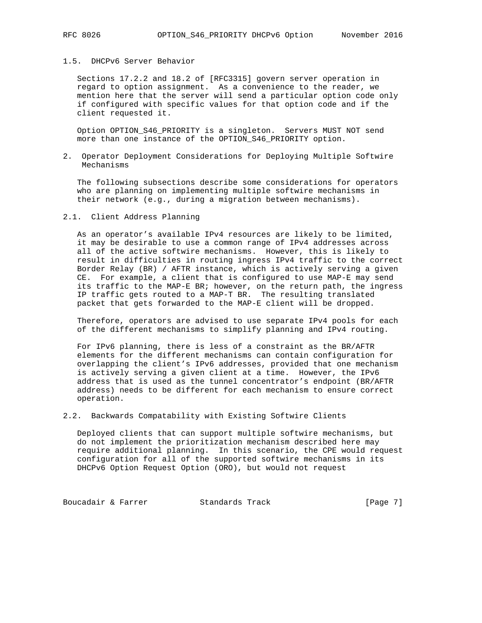## 1.5. DHCPv6 Server Behavior

 Sections 17.2.2 and 18.2 of [RFC3315] govern server operation in regard to option assignment. As a convenience to the reader, we mention here that the server will send a particular option code only if configured with specific values for that option code and if the client requested it.

 Option OPTION\_S46\_PRIORITY is a singleton. Servers MUST NOT send more than one instance of the OPTION\_S46\_PRIORITY option.

2. Operator Deployment Considerations for Deploying Multiple Softwire Mechanisms

 The following subsections describe some considerations for operators who are planning on implementing multiple softwire mechanisms in their network (e.g., during a migration between mechanisms).

## 2.1. Client Address Planning

 As an operator's available IPv4 resources are likely to be limited, it may be desirable to use a common range of IPv4 addresses across all of the active softwire mechanisms. However, this is likely to result in difficulties in routing ingress IPv4 traffic to the correct Border Relay (BR) / AFTR instance, which is actively serving a given CE. For example, a client that is configured to use MAP-E may send its traffic to the MAP-E BR; however, on the return path, the ingress IP traffic gets routed to a MAP-T BR. The resulting translated packet that gets forwarded to the MAP-E client will be dropped.

 Therefore, operators are advised to use separate IPv4 pools for each of the different mechanisms to simplify planning and IPv4 routing.

 For IPv6 planning, there is less of a constraint as the BR/AFTR elements for the different mechanisms can contain configuration for overlapping the client's IPv6 addresses, provided that one mechanism is actively serving a given client at a time. However, the IPv6 address that is used as the tunnel concentrator's endpoint (BR/AFTR address) needs to be different for each mechanism to ensure correct operation.

2.2. Backwards Compatability with Existing Softwire Clients

 Deployed clients that can support multiple softwire mechanisms, but do not implement the prioritization mechanism described here may require additional planning. In this scenario, the CPE would request configuration for all of the supported softwire mechanisms in its DHCPv6 Option Request Option (ORO), but would not request

Boucadair & Farrer **Standards Track** [Page 7]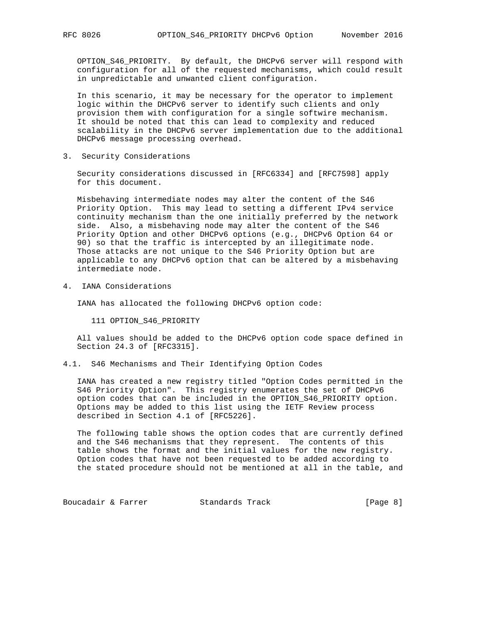OPTION\_S46\_PRIORITY. By default, the DHCPv6 server will respond with configuration for all of the requested mechanisms, which could result in unpredictable and unwanted client configuration.

 In this scenario, it may be necessary for the operator to implement logic within the DHCPv6 server to identify such clients and only provision them with configuration for a single softwire mechanism. It should be noted that this can lead to complexity and reduced scalability in the DHCPv6 server implementation due to the additional DHCPv6 message processing overhead.

3. Security Considerations

 Security considerations discussed in [RFC6334] and [RFC7598] apply for this document.

 Misbehaving intermediate nodes may alter the content of the S46 Priority Option. This may lead to setting a different IPv4 service continuity mechanism than the one initially preferred by the network side. Also, a misbehaving node may alter the content of the S46 Priority Option and other DHCPv6 options (e.g., DHCPv6 Option 64 or 90) so that the traffic is intercepted by an illegitimate node. Those attacks are not unique to the S46 Priority Option but are applicable to any DHCPv6 option that can be altered by a misbehaving intermediate node.

4. IANA Considerations

IANA has allocated the following DHCPv6 option code:

111 OPTION\_S46\_PRIORITY

 All values should be added to the DHCPv6 option code space defined in Section 24.3 of [RFC3315].

4.1. S46 Mechanisms and Their Identifying Option Codes

 IANA has created a new registry titled "Option Codes permitted in the S46 Priority Option". This registry enumerates the set of DHCPv6 option codes that can be included in the OPTION\_S46\_PRIORITY option. Options may be added to this list using the IETF Review process described in Section 4.1 of [RFC5226].

 The following table shows the option codes that are currently defined and the S46 mechanisms that they represent. The contents of this table shows the format and the initial values for the new registry. Option codes that have not been requested to be added according to the stated procedure should not be mentioned at all in the table, and

Boucadair & Farrer **Standards Track** [Page 8]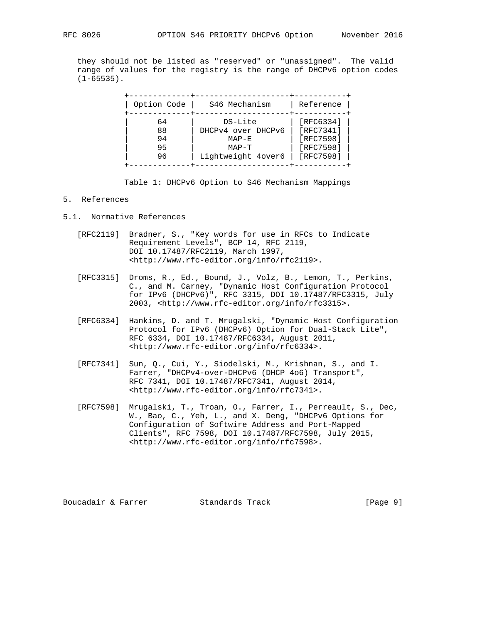they should not be listed as "reserved" or "unassigned". The valid range of values for the registry is the range of DHCPv6 option codes  $(1-65535)$ .

| Option Code | S46 Mechanism      | Reference |
|-------------|--------------------|-----------|
| 64          | DS-Lite            | [RFC6334] |
| 88          | DHCPv4 over DHCPv6 | [RFC7341] |
| 94          | $MAP-E$            | [RFC7598] |
| 95          | $MAP-T$            | [RFC7598] |
| 96          | Lightweight 4over6 | [RFC7598] |

Table 1: DHCPv6 Option to S46 Mechanism Mappings

## 5. References

- 5.1. Normative References
	- [RFC2119] Bradner, S., "Key words for use in RFCs to Indicate Requirement Levels", BCP 14, RFC 2119, DOI 10.17487/RFC2119, March 1997, <http://www.rfc-editor.org/info/rfc2119>.
- [RFC3315] Droms, R., Ed., Bound, J., Volz, B., Lemon, T., Perkins, C., and M. Carney, "Dynamic Host Configuration Protocol for IPv6 (DHCPv6)", RFC 3315, DOI 10.17487/RFC3315, July 2003, <http://www.rfc-editor.org/info/rfc3315>.
	- [RFC6334] Hankins, D. and T. Mrugalski, "Dynamic Host Configuration Protocol for IPv6 (DHCPv6) Option for Dual-Stack Lite", RFC 6334, DOI 10.17487/RFC6334, August 2011, <http://www.rfc-editor.org/info/rfc6334>.
	- [RFC7341] Sun, Q., Cui, Y., Siodelski, M., Krishnan, S., and I. Farrer, "DHCPv4-over-DHCPv6 (DHCP 4o6) Transport", RFC 7341, DOI 10.17487/RFC7341, August 2014, <http://www.rfc-editor.org/info/rfc7341>.
	- [RFC7598] Mrugalski, T., Troan, O., Farrer, I., Perreault, S., Dec, W., Bao, C., Yeh, L., and X. Deng, "DHCPv6 Options for Configuration of Softwire Address and Port-Mapped Clients", RFC 7598, DOI 10.17487/RFC7598, July 2015, <http://www.rfc-editor.org/info/rfc7598>.

Boucadair & Farrer **Standards Track** [Page 9]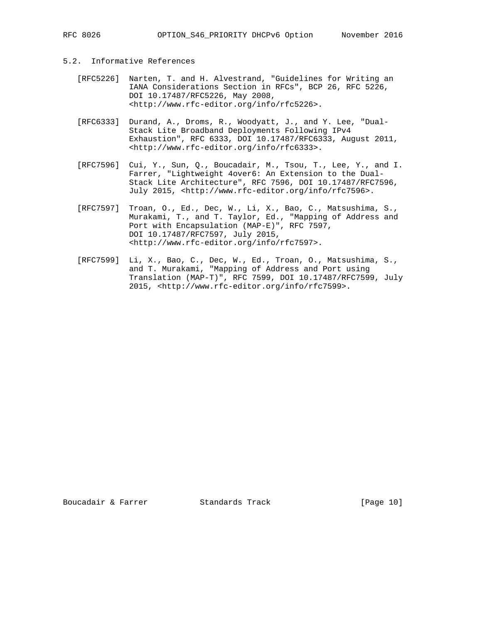- 
- 5.2. Informative References
	- [RFC5226] Narten, T. and H. Alvestrand, "Guidelines for Writing an IANA Considerations Section in RFCs", BCP 26, RFC 5226, DOI 10.17487/RFC5226, May 2008, <http://www.rfc-editor.org/info/rfc5226>.
	- [RFC6333] Durand, A., Droms, R., Woodyatt, J., and Y. Lee, "Dual- Stack Lite Broadband Deployments Following IPv4 Exhaustion", RFC 6333, DOI 10.17487/RFC6333, August 2011, <http://www.rfc-editor.org/info/rfc6333>.
	- [RFC7596] Cui, Y., Sun, Q., Boucadair, M., Tsou, T., Lee, Y., and I. Farrer, "Lightweight 4over6: An Extension to the Dual- Stack Lite Architecture", RFC 7596, DOI 10.17487/RFC7596, July 2015, <http://www.rfc-editor.org/info/rfc7596>.
	- [RFC7597] Troan, O., Ed., Dec, W., Li, X., Bao, C., Matsushima, S., Murakami, T., and T. Taylor, Ed., "Mapping of Address and Port with Encapsulation (MAP-E)", RFC 7597, DOI 10.17487/RFC7597, July 2015, <http://www.rfc-editor.org/info/rfc7597>.
	- [RFC7599] Li, X., Bao, C., Dec, W., Ed., Troan, O., Matsushima, S., and T. Murakami, "Mapping of Address and Port using Translation (MAP-T)", RFC 7599, DOI 10.17487/RFC7599, July 2015, <http://www.rfc-editor.org/info/rfc7599>.